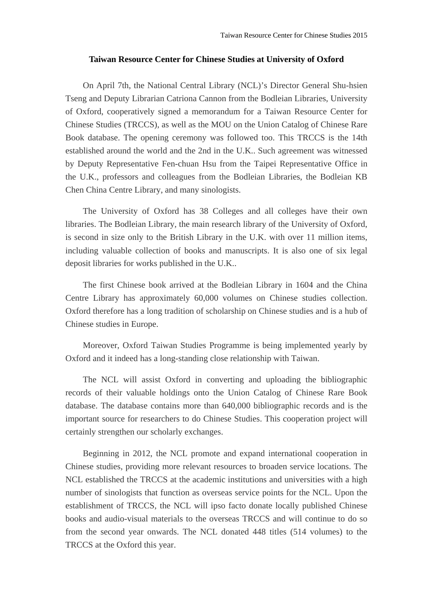## **Taiwan Resource Center for Chinese Studies at University of Oxford**

On April 7th, the National Central Library (NCL)'s Director General Shu-hsien Tseng and Deputy Librarian Catriona Cannon from the Bodleian Libraries, University of Oxford, cooperatively signed a memorandum for a Taiwan Resource Center for Chinese Studies (TRCCS), as well as the MOU on the Union Catalog of Chinese Rare Book database. The opening ceremony was followed too. This TRCCS is the 14th established around the world and the 2nd in the U.K.. Such agreement was witnessed by Deputy Representative Fen-chuan Hsu from the Taipei Representative Office in the U.K., professors and colleagues from the Bodleian Libraries, the Bodleian KB Chen China Centre Library, and many sinologists.

The University of Oxford has 38 Colleges and all colleges have their own libraries. The Bodleian Library, the main research library of the University of Oxford, is second in size only to the British Library in the U.K. with over 11 million items, including valuable collection of books and manuscripts. It is also one of six legal deposit libraries for works published in the U.K..

The first Chinese book arrived at the Bodleian Library in 1604 and the China Centre Library has approximately 60,000 volumes on Chinese studies collection. Oxford therefore has a long tradition of scholarship on Chinese studies and is a hub of Chinese studies in Europe.

Moreover, Oxford Taiwan Studies Programme is being implemented yearly by Oxford and it indeed has a long-standing close relationship with Taiwan.

The NCL will assist Oxford in converting and uploading the bibliographic records of their valuable holdings onto the Union Catalog of Chinese Rare Book database. The database contains more than 640,000 bibliographic records and is the important source for researchers to do Chinese Studies. This cooperation project will certainly strengthen our scholarly exchanges.

Beginning in 2012, the NCL promote and expand international cooperation in Chinese studies, providing more relevant resources to broaden service locations. The NCL established the TRCCS at the academic institutions and universities with a high number of sinologists that function as overseas service points for the NCL. Upon the establishment of TRCCS, the NCL will ipso facto donate locally published Chinese books and audio-visual materials to the overseas TRCCS and will continue to do so from the second year onwards. The NCL donated 448 titles (514 volumes) to the TRCCS at the Oxford this year.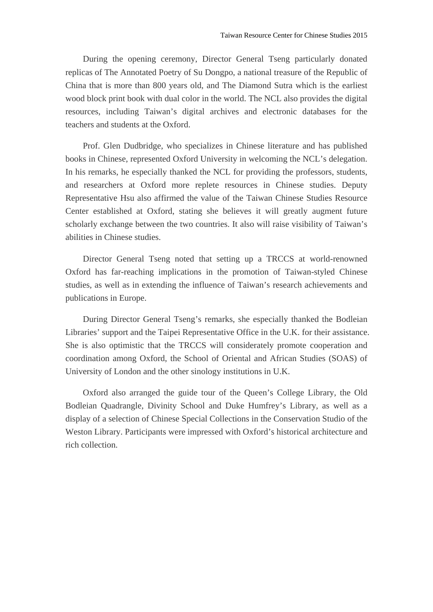During the opening ceremony, Director General Tseng particularly donated replicas of The Annotated Poetry of Su Dongpo, a national treasure of the Republic of China that is more than 800 years old, and The Diamond Sutra which is the earliest wood block print book with dual color in the world. The NCL also provides the digital resources, including Taiwan's digital archives and electronic databases for the teachers and students at the Oxford.

Prof. Glen Dudbridge, who specializes in Chinese literature and has published books in Chinese, represented Oxford University in welcoming the NCL's delegation. In his remarks, he especially thanked the NCL for providing the professors, students, and researchers at Oxford more replete resources in Chinese studies. Deputy Representative Hsu also affirmed the value of the Taiwan Chinese Studies Resource Center established at Oxford, stating she believes it will greatly augment future scholarly exchange between the two countries. It also will raise visibility of Taiwan's abilities in Chinese studies.

Director General Tseng noted that setting up a TRCCS at world-renowned Oxford has far-reaching implications in the promotion of Taiwan-styled Chinese studies, as well as in extending the influence of Taiwan's research achievements and publications in Europe.

During Director General Tseng's remarks, she especially thanked the Bodleian Libraries' support and the Taipei Representative Office in the U.K. for their assistance. She is also optimistic that the TRCCS will considerately promote cooperation and coordination among Oxford, the School of Oriental and African Studies (SOAS) of University of London and the other sinology institutions in U.K.

Oxford also arranged the guide tour of the Queen's College Library, the Old Bodleian Quadrangle, Divinity School and Duke Humfrey's Library, as well as a display of a selection of Chinese Special Collections in the Conservation Studio of the Weston Library. Participants were impressed with Oxford's historical architecture and rich collection.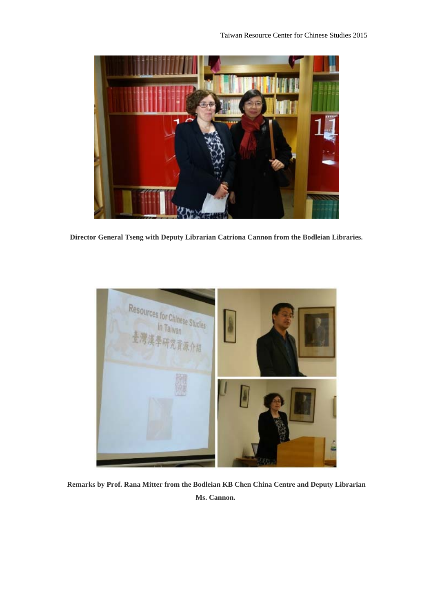

**Director General Tseng with Deputy Librarian Catriona Cannon from the Bodleian Libraries.** 



**Remarks by Prof. Rana Mitter from the Bodleian KB Chen China Centre and Deputy Librarian Ms. Cannon.**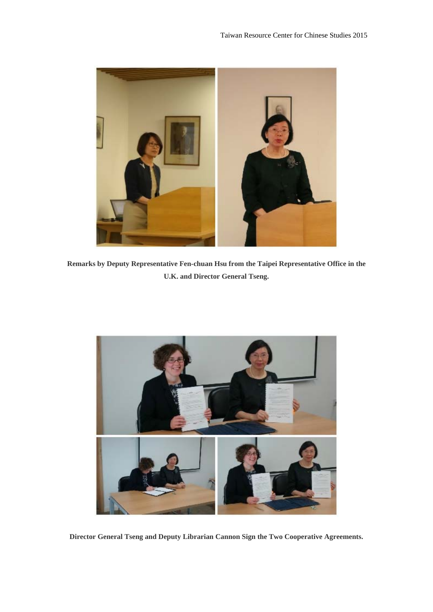

**Remarks by Deputy Representative Fen-chuan Hsu from the Taipei Representative Office in the U.K. and Director General Tseng.** 



**Director General Tseng and Deputy Librarian Cannon Sign the Two Cooperative Agreements.**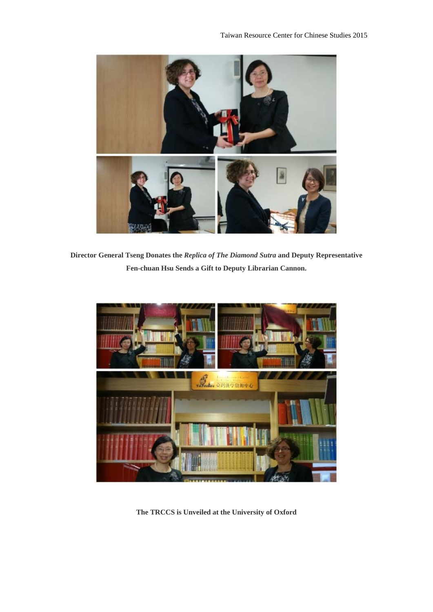

**Director General Tseng Donates the** *Replica of The Diamond Sutra* **and Deputy Representative Fen-chuan Hsu Sends a Gift to Deputy Librarian Cannon.**



**The TRCCS is Unveiled at the University of Oxford**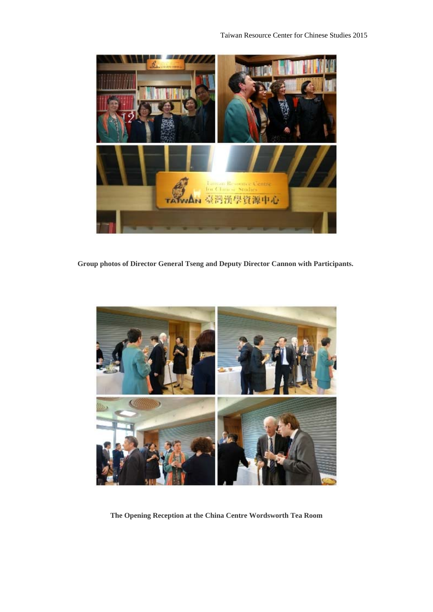

**Group photos of Director General Tseng and Deputy Director Cannon with Participants.** 



**The Opening Reception at the China Centre Wordsworth Tea Room**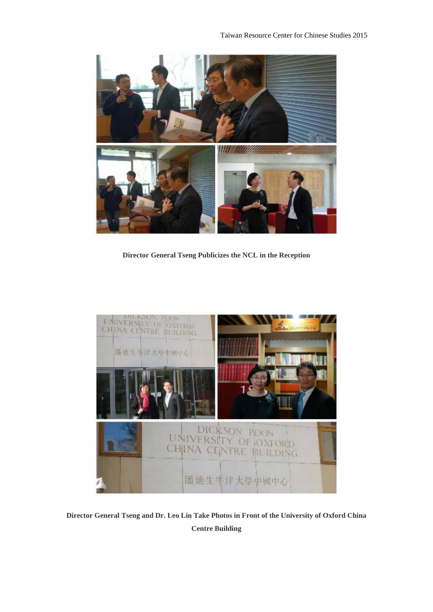

**Director General Tseng Publicizes the NCL in the Reception** 



**Director General Tseng and Dr. Leo Lin Take Photos in Front of the University of Oxford China Centre Building**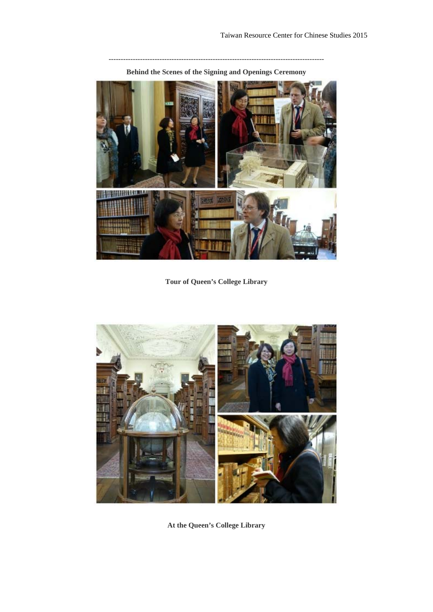**-----------------------------------------------------------------------------------------** 



**Behind the Scenes of the Signing and Openings Ceremony**

**Tour of Queen's College Library**



**At the Queen's College Library**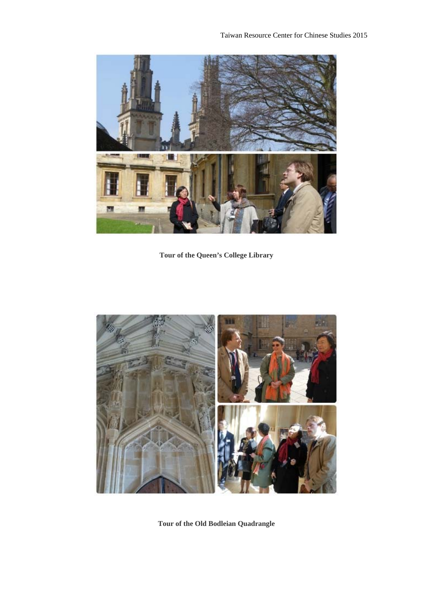

**Tour of the Queen's College Library**



**Tour of the Old Bodleian Quadrangle**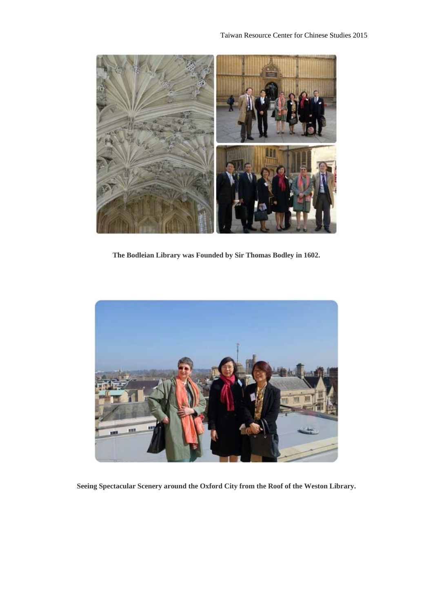

**The Bodleian Library was Founded by Sir Thomas Bodley in 1602.** 



**Seeing Spectacular Scenery around the Oxford City from the Roof of the Weston Library.**